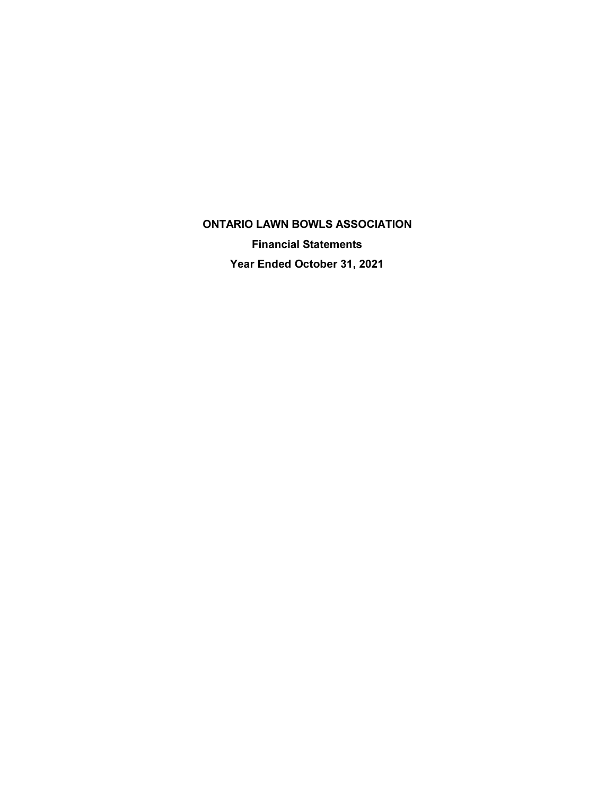**ONTARIO LAWN BOWLS ASSOCIATION Financial Statements** Year Ended October 31, 2021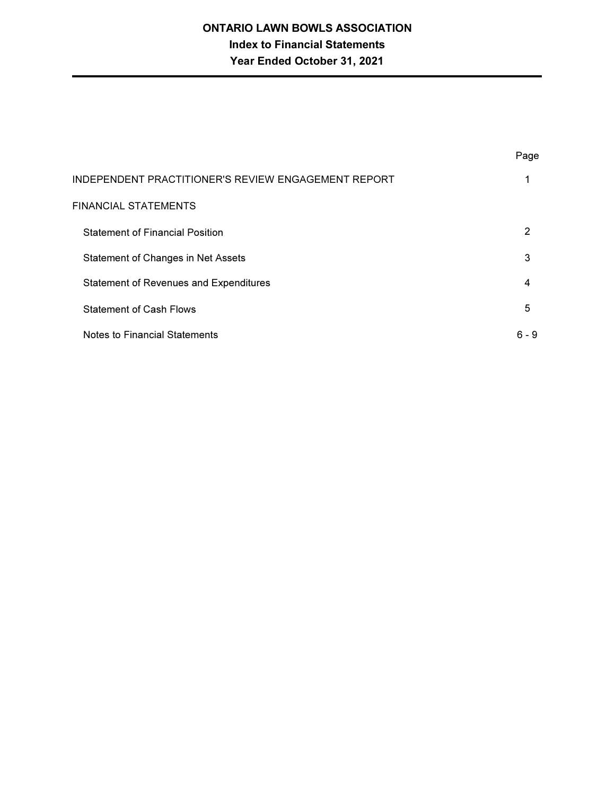# **ONTARIO LAWN BOWLS ASSOCIATION Index to Financial Statements** Year Ended October 31, 2021

|                                                            | Page  |
|------------------------------------------------------------|-------|
| <b>INDEPENDENT PRACTITIONER'S REVIEW ENGAGEMENT REPORT</b> | 1     |
| <b>FINANCIAL STATEMENTS</b>                                |       |
| <b>Statement of Financial Position</b>                     | 2     |
| Statement of Changes in Net Assets                         | 3     |
| <b>Statement of Revenues and Expenditures</b>              | 4     |
| <b>Statement of Cash Flows</b>                             | 5     |
| <b>Notes to Financial Statements</b>                       | 6 - 9 |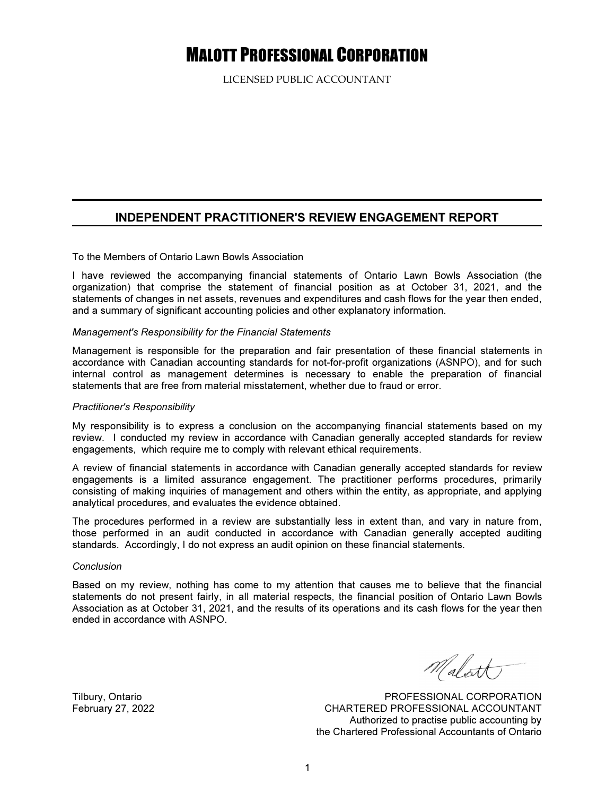# **MALOTT PROFESSIONAL CORPORATION**

LICENSED PUBLIC ACCOUNTANT

### **INDEPENDENT PRACTITIONER'S REVIEW ENGAGEMENT REPORT**

#### To the Members of Ontario Lawn Bowls Association

I have reviewed the accompanying financial statements of Ontario Lawn Bowls Association (the organization) that comprise the statement of financial position as at October 31, 2021, and the statements of changes in net assets, revenues and expenditures and cash flows for the year then ended, and a summary of significant accounting policies and other explanatory information.

#### Management's Responsibility for the Financial Statements

Management is responsible for the preparation and fair presentation of these financial statements in accordance with Canadian accounting standards for not-for-profit organizations (ASNPO), and for such internal control as management determines is necessary to enable the preparation of financial statements that are free from material misstatement, whether due to fraud or error.

#### **Practitioner's Responsibility**

My responsibility is to express a conclusion on the accompanying financial statements based on my review. I conducted my review in accordance with Canadian generally accepted standards for review engagements, which require me to comply with relevant ethical requirements.

A review of financial statements in accordance with Canadian generally accepted standards for review engagements is a limited assurance engagement. The practitioner performs procedures, primarily consisting of making inquiries of management and others within the entity, as appropriate, and applying analytical procedures, and evaluates the evidence obtained.

The procedures performed in a review are substantially less in extent than, and vary in nature from, those performed in an audit conducted in accordance with Canadian generally accepted auditing standards. Accordingly, I do not express an audit opinion on these financial statements.

#### Conclusion

Based on my review, nothing has come to my attention that causes me to believe that the financial statements do not present fairly, in all material respects, the financial position of Ontario Lawn Bowls Association as at October 31, 2021, and the results of its operations and its cash flows for the year then ended in accordance with ASNPO.

Malatt)

PROFESSIONAL CORPORATION CHARTERED PROFESSIONAL ACCOUNTANT Authorized to practise public accounting by the Chartered Professional Accountants of Ontario

Tilbury, Ontario February 27, 2022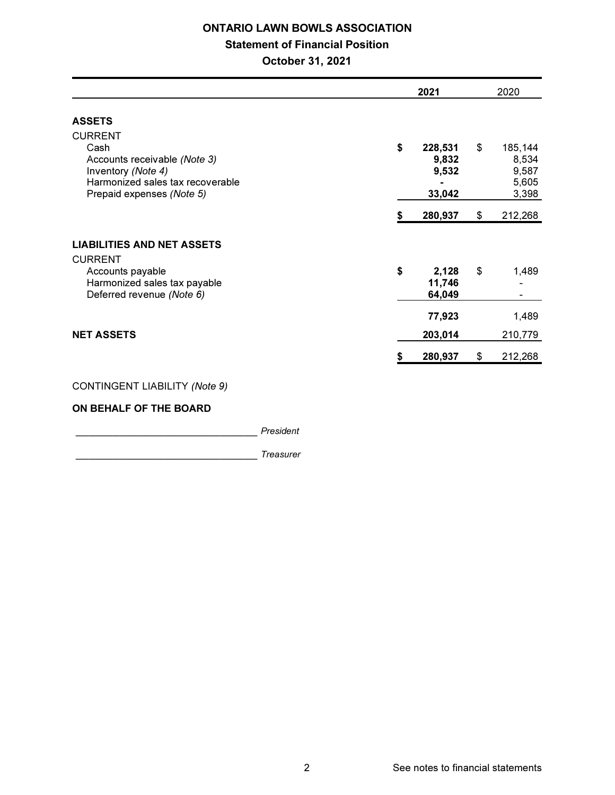# **ONTARIO LAWN BOWLS ASSOCIATION**

# **Statement of Financial Position**

October 31, 2021

|                                                                                                                                               |    | 2021                                |    | 2020                                        |  |
|-----------------------------------------------------------------------------------------------------------------------------------------------|----|-------------------------------------|----|---------------------------------------------|--|
| <b>ASSETS</b>                                                                                                                                 |    |                                     |    |                                             |  |
| <b>CURRENT</b><br>Cash<br>Accounts receivable (Note 3)<br>Inventory (Note 4)<br>Harmonized sales tax recoverable<br>Prepaid expenses (Note 5) | \$ | 228,531<br>9,832<br>9,532<br>33,042 | \$ | 185,144<br>8,534<br>9,587<br>5,605<br>3,398 |  |
|                                                                                                                                               |    | 280,937                             | \$ | 212,268                                     |  |
| <b>LIABILITIES AND NET ASSETS</b>                                                                                                             |    |                                     |    |                                             |  |
| <b>CURRENT</b><br>Accounts payable<br>Harmonized sales tax payable<br>Deferred revenue (Note 6)                                               | \$ | 2,128<br>11,746<br>64,049           | \$ | 1,489                                       |  |
|                                                                                                                                               |    | 77,923                              |    | 1,489                                       |  |
| <b>NET ASSETS</b>                                                                                                                             |    | 203,014                             |    | 210,779                                     |  |
|                                                                                                                                               |    | 280,937                             | \$ | 212,268                                     |  |
|                                                                                                                                               |    |                                     |    |                                             |  |

### CONTINGENT LIABILITY (Note 9)

#### ON BEHALF OF THE BOARD

**Example 21 President** 

**Treasurer Treasurer**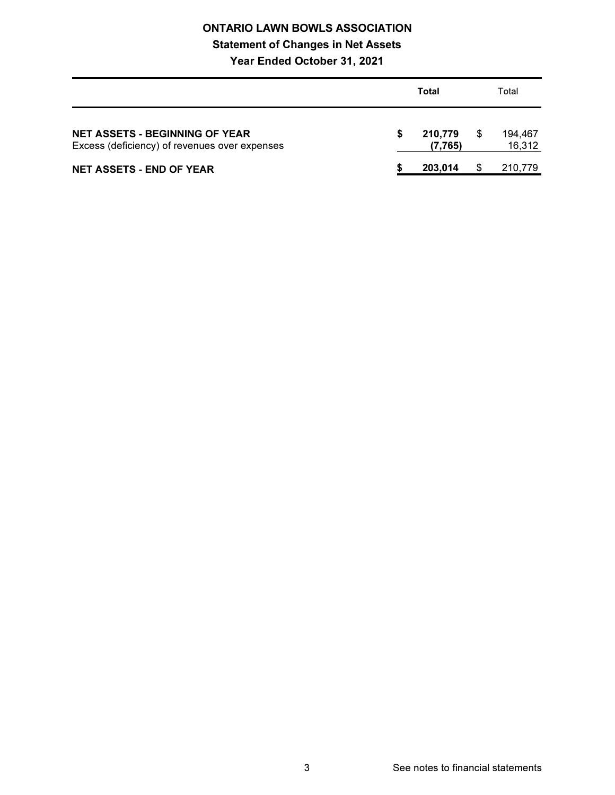# **ONTARIO LAWN BOWLS ASSOCIATION**

# **Statement of Changes in Net Assets**

# Year Ended October 31, 2021

|                                                                                        | Total |                    |  | Total             |  |
|----------------------------------------------------------------------------------------|-------|--------------------|--|-------------------|--|
| <b>NET ASSETS - BEGINNING OF YEAR</b><br>Excess (deficiency) of revenues over expenses |       | 210.779<br>(7.765) |  | 194.467<br>16.312 |  |
| NET ASSETS - END OF YEAR                                                               |       | 203.014            |  | 210,779           |  |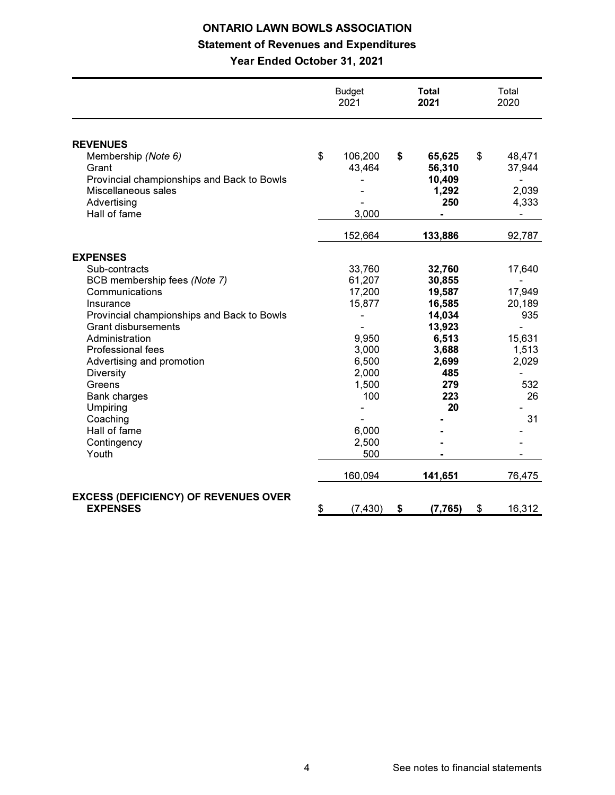# **ONTARIO LAWN BOWLS ASSOCIATION Statement of Revenues and Expenditures** Year Ended October 31, 2021

|                                             | <b>Budget</b><br>2021 | Total<br>2021  | Total<br>2020            |
|---------------------------------------------|-----------------------|----------------|--------------------------|
| <b>REVENUES</b>                             |                       |                |                          |
| Membership (Note 6)                         | \$<br>106,200         | \$<br>65,625   | \$<br>48,471             |
| Grant                                       | 43,464                | 56,310         | 37,944                   |
| Provincial championships and Back to Bowls  |                       | 10,409         |                          |
| Miscellaneous sales                         |                       | 1,292          | 2,039                    |
| Advertising                                 |                       | 250            | 4,333                    |
| Hall of fame                                | 3,000                 | $\blacksquare$ | $\overline{\phantom{a}}$ |
|                                             | 152,664               | 133,886        | 92,787                   |
| <b>EXPENSES</b>                             |                       |                |                          |
| Sub-contracts                               | 33,760                | 32,760         | 17,640                   |
| BCB membership fees (Note 7)                | 61,207                | 30,855         |                          |
| Communications                              | 17,200                | 19,587         | 17,949                   |
| Insurance                                   | 15,877                | 16,585         | 20,189                   |
| Provincial championships and Back to Bowls  | -                     | 14,034         | 935                      |
| <b>Grant disbursements</b>                  |                       | 13,923         | $\overline{a}$           |
| Administration                              | 9,950                 | 6,513          | 15,631                   |
| <b>Professional fees</b>                    | 3,000                 | 3,688          | 1,513                    |
| Advertising and promotion                   | 6,500                 | 2,699          | 2,029                    |
| <b>Diversity</b>                            | 2,000                 | 485            | $\overline{a}$           |
| Greens                                      | 1,500                 | 279            | 532                      |
| <b>Bank charges</b>                         | 100                   | 223            | 26                       |
| Umpiring                                    |                       | 20             |                          |
| Coaching                                    |                       |                | 31                       |
| Hall of fame                                | 6,000                 |                |                          |
| Contingency                                 | 2,500                 |                |                          |
| Youth                                       | 500                   |                |                          |
|                                             | 160,094               | 141,651        | 76,475                   |
| <b>EXCESS (DEFICIENCY) OF REVENUES OVER</b> |                       |                |                          |
| <b>EXPENSES</b>                             | \$<br>(7, 430)        | \$<br>(7, 765) | \$<br>16,312             |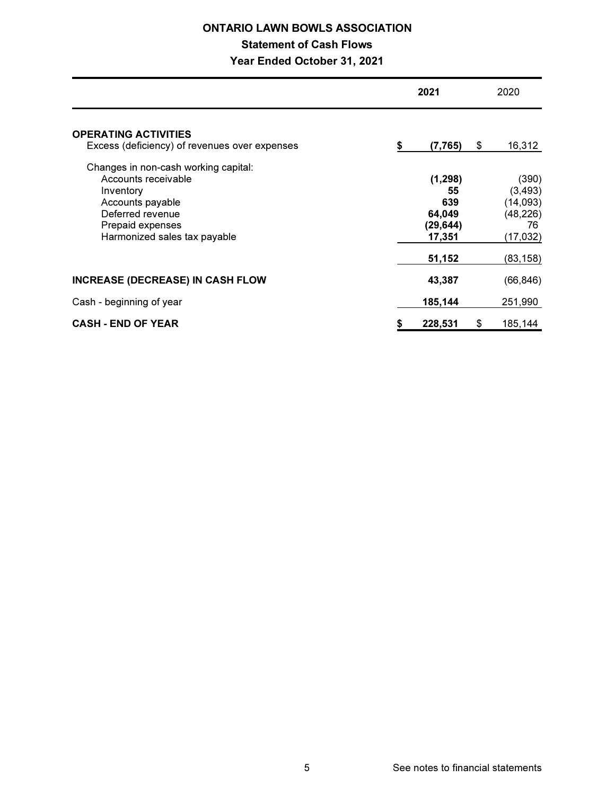# **ONTARIO LAWN BOWLS ASSOCIATION**

# **Statement of Cash Flows**

# Year Ended October 31, 2021

|                                                                                              | 2021 |                               |    | 2020                          |  |
|----------------------------------------------------------------------------------------------|------|-------------------------------|----|-------------------------------|--|
| <b>OPERATING ACTIVITIES</b><br>Excess (deficiency) of revenues over expenses                 | \$   | (7, 765)                      | \$ | 16,312                        |  |
| Changes in non-cash working capital:<br>Accounts receivable<br>Inventory<br>Accounts payable |      | (1, 298)<br>55<br>639         |    | (390)<br>(3, 493)<br>(14,093) |  |
| Deferred revenue<br>Prepaid expenses<br>Harmonized sales tax payable                         |      | 64,049<br>(29, 644)<br>17,351 |    | (48, 226)<br>76<br>(17,032)   |  |
| <b>INCREASE (DECREASE) IN CASH FLOW</b>                                                      |      | 51,152<br>43,387              |    | (83, 158)<br>(66, 846)        |  |
| Cash - beginning of year                                                                     |      | 185,144                       |    | 251,990                       |  |
| <b>CASH - END OF YEAR</b>                                                                    | \$   | 228,531                       | \$ | 185,144                       |  |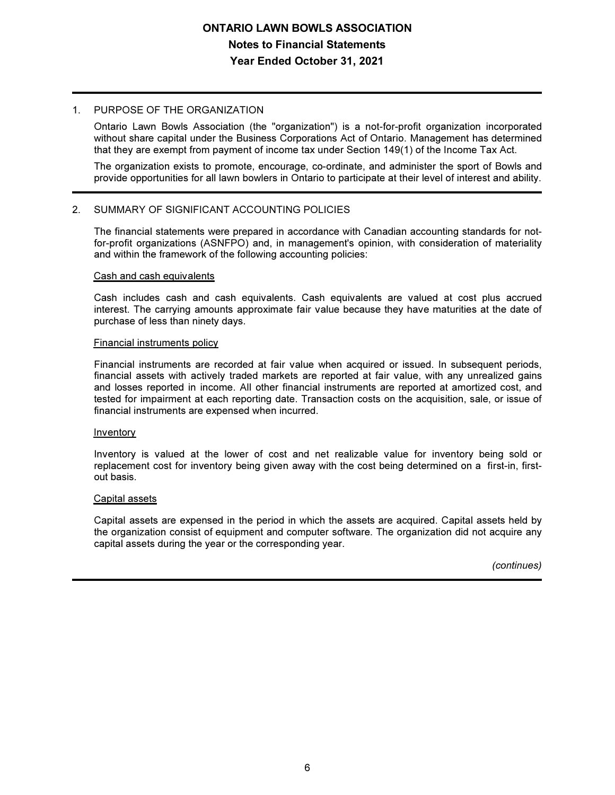### 1. PURPOSE OF THE ORGANIZATION

Ontario Lawn Bowls Association (the "organization") is a not-for-profit organization incorporated without share capital under the Business Corporations Act of Ontario. Management has determined that they are exempt from payment of income tax under Section 149(1) of the Income Tax Act.

The organization exists to promote, encourage, co-ordinate, and administer the sport of Bowls and provide opportunities for all lawn bowlers in Ontario to participate at their level of interest and ability.

#### $2<sup>1</sup>$ SUMMARY OF SIGNIFICANT ACCOUNTING POLICIES

The financial statements were prepared in accordance with Canadian accounting standards for notfor-profit organizations (ASNFPO) and, in management's opinion, with consideration of materiality and within the framework of the following accounting policies:

#### Cash and cash equivalents

Cash includes cash and cash equivalents. Cash equivalents are valued at cost plus accrued interest. The carrying amounts approximate fair value because they have maturities at the date of purchase of less than ninety days.

#### **Financial instruments policy**

Financial instruments are recorded at fair value when acquired or issued. In subsequent periods, financial assets with actively traded markets are reported at fair value, with any unrealized gains and losses reported in income. All other financial instruments are reported at amortized cost, and tested for impairment at each reporting date. Transaction costs on the acquisition, sale, or issue of financial instruments are expensed when incurred.

#### Inventory

Inventory is valued at the lower of cost and net realizable value for inventory being sold or replacement cost for inventory being given away with the cost being determined on a first-in, firstout basis.

#### Capital assets

Capital assets are expensed in the period in which the assets are acquired. Capital assets held by the organization consist of equipment and computer software. The organization did not acquire any capital assets during the year or the corresponding year.

(continues)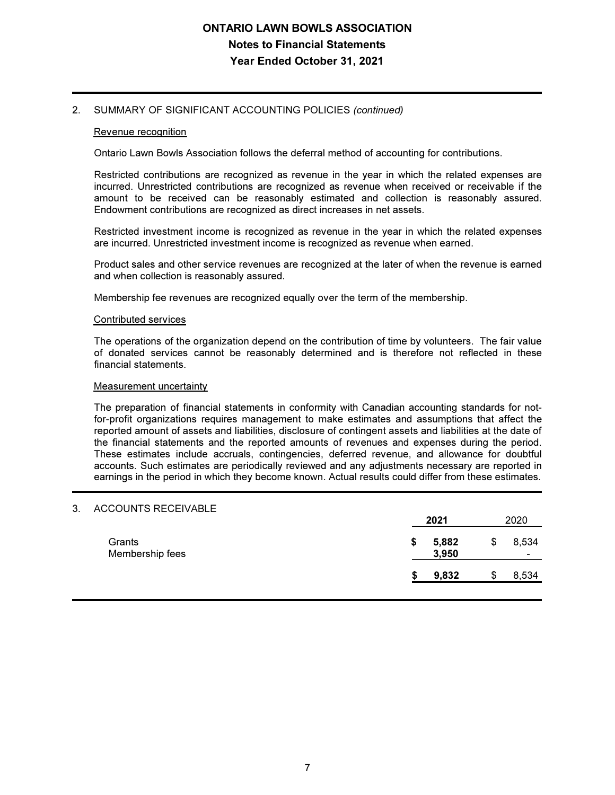# **ONTARIO LAWN BOWLS ASSOCIATION Notes to Financial Statements** Year Ended October 31, 2021

#### 2. SUMMARY OF SIGNIFICANT ACCOUNTING POLICIES (continued)

#### Revenue recognition

Ontario Lawn Bowls Association follows the deferral method of accounting for contributions.

Restricted contributions are recognized as revenue in the year in which the related expenses are incurred. Unrestricted contributions are recognized as revenue when received or receivable if the amount to be received can be reasonably estimated and collection is reasonably assured. Endowment contributions are recognized as direct increases in net assets.

Restricted investment income is recognized as revenue in the year in which the related expenses are incurred. Unrestricted investment income is recognized as revenue when earned.

Product sales and other service revenues are recognized at the later of when the revenue is earned and when collection is reasonably assured.

Membership fee revenues are recognized equally over the term of the membership.

#### Contributed services

The operations of the organization depend on the contribution of time by volunteers. The fair value of donated services cannot be reasonably determined and is therefore not reflected in these financial statements.

#### Measurement uncertainty

The preparation of financial statements in conformity with Canadian accounting standards for notfor-profit organizations requires management to make estimates and assumptions that affect the reported amount of assets and liabilities, disclosure of contingent assets and liabilities at the date of the financial statements and the reported amounts of revenues and expenses during the period. These estimates include accruals, contingencies, deferred revenue, and allowance for doubtful accounts. Such estimates are periodically reviewed and any adjustments necessary are reported in earnings in the period in which they become known. Actual results could differ from these estimates.

#### 3. ACCOUNTS RECEIVABLE

|                           | 2021                 | 2020 |                                   |
|---------------------------|----------------------|------|-----------------------------------|
| Grants<br>Membership fees | \$<br>5,882<br>3,950 | S    | 8,534<br>$\overline{\phantom{a}}$ |
|                           | 9,832                |      | 8,534                             |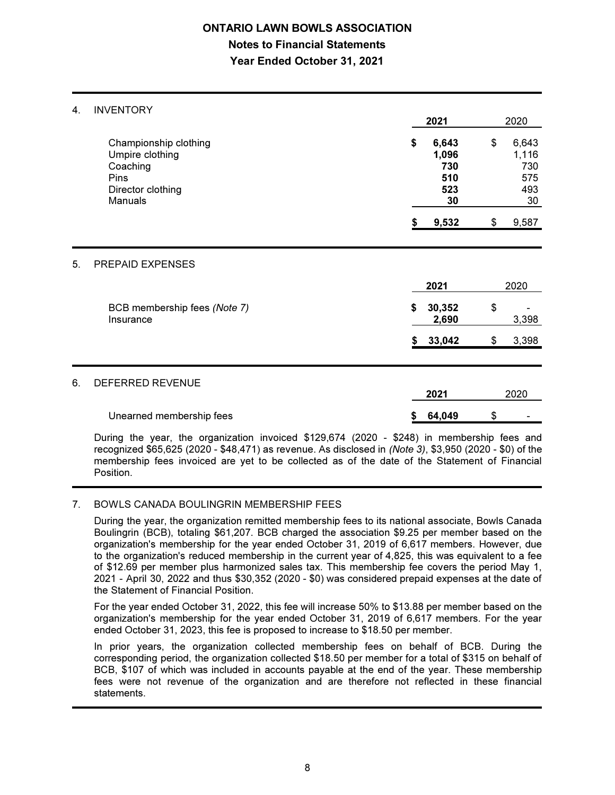# **ONTARIO LAWN BOWLS ASSOCIATION Notes to Financial Statements** Year Ended October 31, 2021

#### 4. INVENTORY

5.

6

|                                                                                                     | 2021                                            |                 | 2020                                            |       |  |
|-----------------------------------------------------------------------------------------------------|-------------------------------------------------|-----------------|-------------------------------------------------|-------|--|
| Championship clothing<br>Umpire clothing<br>Coaching<br>Pins<br>Director clothing<br><b>Manuals</b> | \$<br>6,643<br>1,096<br>730<br>510<br>523<br>30 |                 | \$<br>6,643<br>1,116<br>730<br>575<br>493<br>30 |       |  |
|                                                                                                     |                                                 | 9,532           | \$                                              | 9,587 |  |
| PREPAID EXPENSES                                                                                    |                                                 |                 |                                                 |       |  |
|                                                                                                     |                                                 | 2021            |                                                 | 2020  |  |
| BCB membership fees (Note 7)<br>Insurance                                                           | \$                                              | 30,352<br>2,690 | \$                                              | 3,398 |  |
|                                                                                                     | S                                               | 33,042          | \$                                              | 3,398 |  |
| DEFERRED REVENUE                                                                                    |                                                 | 2021            |                                                 | 2020  |  |
| Unearned membership fees                                                                            |                                                 | 64,049          | \$                                              |       |  |

During the year, the organization invoiced \$129,674 (2020 - \$248) in membership fees and recognized \$65,625 (2020 - \$48,471) as revenue. As disclosed in (Note 3), \$3,950 (2020 - \$0) of the membership fees invoiced are yet to be collected as of the date of the Statement of Financial Position

#### 7. BOWLS CANADA BOULINGRIN MEMBERSHIP FEES

During the year, the organization remitted membership fees to its national associate, Bowls Canada Boulingrin (BCB), totaling \$61,207. BCB charged the association \$9.25 per member based on the organization's membership for the year ended October 31, 2019 of 6,617 members. However, due to the organization's reduced membership in the current year of 4,825, this was equivalent to a fee of \$12.69 per member plus harmonized sales tax. This membership fee covers the period May 1, 2021 - April 30, 2022 and thus \$30,352 (2020 - \$0) was considered prepaid expenses at the date of the Statement of Financial Position.

For the year ended October 31, 2022, this fee will increase 50% to \$13.88 per member based on the organization's membership for the year ended October 31, 2019 of 6,617 members. For the year ended October 31, 2023, this fee is proposed to increase to \$18.50 per member.

In prior years, the organization collected membership fees on behalf of BCB. During the corresponding period, the organization collected \$18.50 per member for a total of \$315 on behalf of BCB, \$107 of which was included in accounts payable at the end of the year. These membership fees were not revenue of the organization and are therefore not reflected in these financial statements.